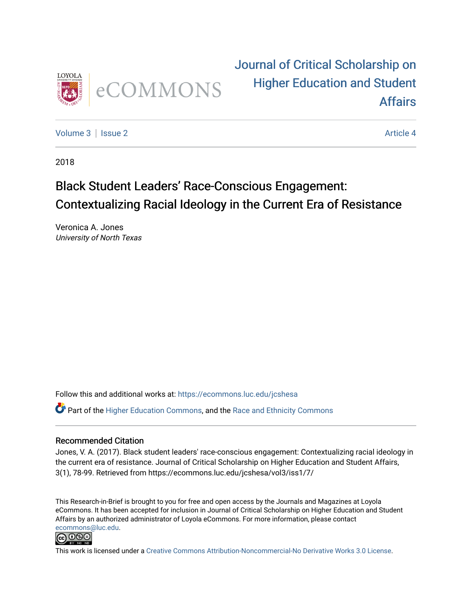

### [Journal of Critical Scholarship on](https://ecommons.luc.edu/jcshesa)  [Higher Education and Student](https://ecommons.luc.edu/jcshesa)  [Affairs](https://ecommons.luc.edu/jcshesa)

[Volume 3](https://ecommons.luc.edu/jcshesa/vol3) | [Issue 2](https://ecommons.luc.edu/jcshesa/vol3/iss2) Article 4

2018

### Black Student Leaders' Race-Conscious Engagement: Contextualizing Racial Ideology in the Current Era of Resistance

Veronica A. Jones University of North Texas

Follow this and additional works at: [https://ecommons.luc.edu/jcshesa](https://ecommons.luc.edu/jcshesa?utm_source=ecommons.luc.edu%2Fjcshesa%2Fvol3%2Fiss2%2F4&utm_medium=PDF&utm_campaign=PDFCoverPages) 

Part of the [Higher Education Commons,](http://network.bepress.com/hgg/discipline/1245?utm_source=ecommons.luc.edu%2Fjcshesa%2Fvol3%2Fiss2%2F4&utm_medium=PDF&utm_campaign=PDFCoverPages) and the [Race and Ethnicity Commons](http://network.bepress.com/hgg/discipline/426?utm_source=ecommons.luc.edu%2Fjcshesa%2Fvol3%2Fiss2%2F4&utm_medium=PDF&utm_campaign=PDFCoverPages)

#### Recommended Citation

Jones, V. A. (2017). Black student leaders' race-conscious engagement: Contextualizing racial ideology in the current era of resistance. Journal of Critical Scholarship on Higher Education and Student Affairs, 3(1), 78-99. Retrieved from https://ecommons.luc.edu/jcshesa/vol3/iss1/7/

This Research-in-Brief is brought to you for free and open access by the Journals and Magazines at Loyola eCommons. It has been accepted for inclusion in Journal of Critical Scholarship on Higher Education and Student Affairs by an authorized administrator of Loyola eCommons. For more information, please contact [ecommons@luc.edu](mailto:ecommons@luc.edu).



This work is licensed under a [Creative Commons Attribution-Noncommercial-No Derivative Works 3.0 License.](https://creativecommons.org/licenses/by-nc-nd/3.0/)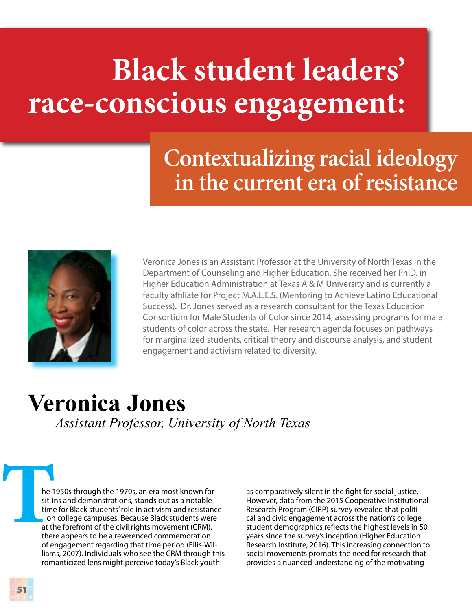# **Black student leaders' race-conscious engagement:**

# **Contextualizing racial ideology in the current era of resistance**



Veronica Jones is an Assistant Professor at the University of North Texas in the Department of Counseling and Higher Education. She received her Ph.D. in Higher Education Administration at Texas A & M University and is currently a faculty affiliate for Project M.A.L.E.S. (Mentoring to Achieve Latino Educational Success). Dr. Jones served as a research consultant for the Texas Education Consortium for Male Students of Color since 2014, assessing programs for male students of color across the state. Her research agenda focuses on pathways for marginalized students, critical theory and discourse analysis, and student engagement and activism related to diversity.

### **Veronica Jones** *Assistant Professor, University of North Texas*

**THE SET OF CHECK**<br> **THE SET OF CHECK**<br> **THE SET OF CHECK**<br> **THE SET OF CHECK** he 1950s through the 1970s, an era most known for sit-ins and demonstrations, stands out as a notable time for Black students' role in activism and resistance on college campuses. Because Black students were at the forefront of the civil rights movement (CRM), there appears to be a reverenced commemoration of engagement regarding that time period (Ellis-Williams, 2007). Individuals who see the CRM through this romanticized lens might perceive today's Black youth

as comparatively silent in the fight for social justice. However, data from the 2015 Cooperative Institutional Research Program (CIRP) survey revealed that political and civic engagement across the nation's college student demographics reflects the highest levels in 50 years since the survey's inception (Higher Education Research Institute, 2016). This increasing connection to social movements prompts the need for research that provides a nuanced understanding of the motivating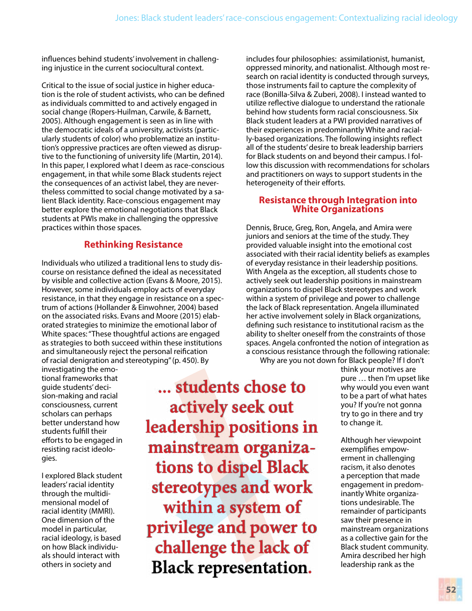influences behind students' involvement in challenging injustice in the current sociocultural context.

Critical to the issue of social justice in higher education is the role of student activists, who can be defined as individuals committed to and actively engaged in social change (Ropers-Huilman, Carwile, & Barnett, 2005). Although engagement is seen as in line with the democratic ideals of a university, activists (particularly students of color) who problematize an institution's oppressive practices are often viewed as disruptive to the functioning of university life (Martin, 2014). In this paper, I explored what I deem as race-conscious engagement, in that while some Black students reject the consequences of an activist label, they are nevertheless committed to social change motivated by a salient Black identity. Race-conscious engagement may better explore the emotional negotiations that Black students at PWIs make in challenging the oppressive practices within those spaces.

### **Rethinking Resistance**

Individuals who utilized a traditional lens to study discourse on resistance defined the ideal as necessitated by visible and collective action (Evans & Moore, 2015). However, some individuals employ acts of everyday resistance, in that they engage in resistance on a spectrum of actions (Hollander & Einwohner, 2004) based on the associated risks. Evans and Moore (2015) elaborated strategies to minimize the emotional labor of White spaces: "These thoughtful actions are engaged as strategies to both succeed within these institutions and simultaneously reject the personal reification of racial denigration and stereotyping" (p. 450). By

investigating the emotional frameworks that guide students' decision-making and racial consciousness, current scholars can perhaps better understand how students fulfill their efforts to be engaged in resisting racist ideologies.

I explored Black student leaders' racial identity through the multidimensional model of racial identity (MMRI). One dimension of the model in particular, racial ideology, is based on how Black individuals should interact with others in society and

**... students chose to actively seek out leadership positions in mainstream organizations to dispel Black stereotypes and work within a system of privilege and power to challenge the lack of Black representation.**

includes four philosophies: assimilationist, humanist, oppressed minority, and nationalist. Although most research on racial identity is conducted through surveys, those instruments fail to capture the complexity of race (Bonilla-Silva & Zuberi, 2008). I instead wanted to utilize reflective dialogue to understand the rationale behind how students form racial consciousness. Six Black student leaders at a PWI provided narratives of their experiences in predominantly White and racially-based organizations. The following insights reflect all of the students' desire to break leadership barriers for Black students on and beyond their campus. I follow this discussion with recommendations for scholars and practitioners on ways to support students in the heterogeneity of their efforts.

# **Resistance through Integration into White Organizations**

Dennis, Bruce, Greg, Ron, Angela, and Amira were juniors and seniors at the time of the study. They provided valuable insight into the emotional cost associated with their racial identity beliefs as examples of everyday resistance in their leadership positions. With Angela as the exception, all students chose to actively seek out leadership positions in mainstream organizations to dispel Black stereotypes and work within a system of privilege and power to challenge the lack of Black representation. Angela illuminated her active involvement solely in Black organizations, defining such resistance to institutional racism as the ability to shelter oneself from the constraints of those spaces. Angela confronted the notion of integration as a conscious resistance through the following rationale:

Why are you not down for Black people? If I don't

think your motives are pure … then I'm upset like why would you even want to be a part of what hates you? If you're not gonna try to go in there and try to change it.

Although her viewpoint exemplifies empowerment in challenging racism, it also denotes a perception that made engagement in predominantly White organizations undesirable. The remainder of participants saw their presence in mainstream organizations as a collective gain for the Black student community. Amira described her high leadership rank as the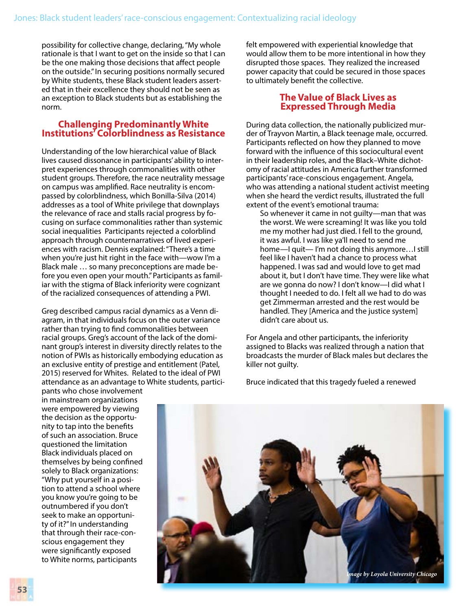possibility for collective change, declaring, "My whole rationale is that I want to get on the inside so that I can be the one making those decisions that affect people on the outside." In securing positions normally secured by White students, these Black student leaders asserted that in their excellence they should not be seen as an exception to Black students but as establishing the norm.

## **Challenging Predominantly White Institutions' Colorblindness as Resistance**

Understanding of the low hierarchical value of Black lives caused dissonance in participants' ability to interpret experiences through commonalities with other student groups. Therefore, the race neutrality message on campus was amplified. Race neutrality is encompassed by colorblindness, which Bonilla-Silva (2014) addresses as a tool of White privilege that downplays the relevance of race and stalls racial progress by focusing on surface commonalities rather than systemic social inequalities Participants rejected a colorblind approach through counternarratives of lived experiences with racism. Dennis explained: "There's a time when you're just hit right in the face with—wow I'm a Black male … so many preconceptions are made before you even open your mouth." Participants as familiar with the stigma of Black inferiority were cognizant of the racialized consequences of attending a PWI.

Greg described campus racial dynamics as a Venn diagram, in that individuals focus on the outer variance rather than trying to find commonalities between racial groups. Greg's account of the lack of the dominant group's interest in diversity directly relates to the notion of PWIs as historically embodying education as an exclusive entity of prestige and entitlement (Patel, 2015) reserved for Whites. Related to the ideal of PWI attendance as an advantage to White students, partici-

pants who chose involvement in mainstream organizations were empowered by viewing the decision as the opportunity to tap into the benefits of such an association. Bruce questioned the limitation Black individuals placed on themselves by being confined solely to Black organizations: "Why put yourself in a position to attend a school where you know you're going to be outnumbered if you don't seek to make an opportunity of it?" In understanding that through their race-conscious engagement they were significantly exposed to White norms, participants

felt empowered with experiential knowledge that would allow them to be more intentional in how they disrupted those spaces. They realized the increased power capacity that could be secured in those spaces to ultimately benefit the collective.

#### **The Value of Black Lives as Expressed Through Media**

During data collection, the nationally publicized murder of Trayvon Martin, a Black teenage male, occurred. Participants reflected on how they planned to move forward with the influence of this sociocultural event in their leadership roles, and the Black–White dichotomy of racial attitudes in America further transformed participants' race-conscious engagement. Angela, who was attending a national student activist meeting when she heard the verdict results, illustrated the full extent of the event's emotional trauma:

So whenever it came in not guilty—man that was the worst. We were screaming! It was like you told me my mother had just died. I fell to the ground, it was awful. I was like ya'll need to send me home—I quit— I'm not doing this anymore…I still feel like I haven't had a chance to process what happened. I was sad and would love to get mad about it, but I don't have time. They were like what are we gonna do now? I don't know—I did what I thought I needed to do. I felt all we had to do was get Zimmerman arrested and the rest would be handled. They [America and the justice system] didn't care about us.

For Angela and other participants, the inferiority assigned to Blacks was realized through a nation that broadcasts the murder of Black males but declares the killer not guilty.

Bruce indicated that this tragedy fueled a renewed

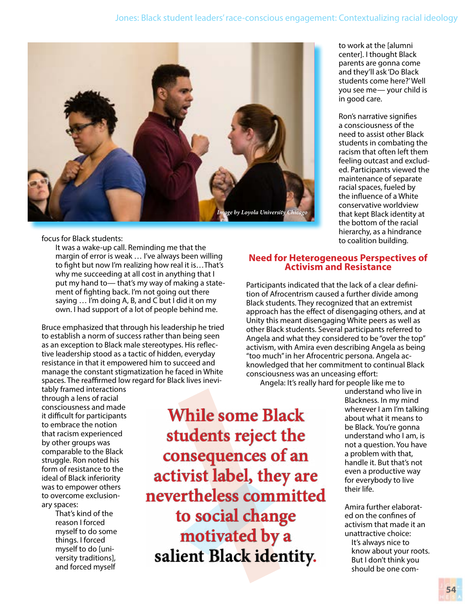

#### focus for Black students:

It was a wake-up call. Reminding me that the margin of error is weak … I've always been willing to fight but now I'm realizing how real it is…That's why me succeeding at all cost in anything that I put my hand to— that's my way of making a statement of fighting back. I'm not going out there saying … I'm doing A, B, and C but I did it on my own. I had support of a lot of people behind me.

Bruce emphasized that through his leadership he tried to establish a norm of success rather than being seen as an exception to Black male stereotypes. His reflective leadership stood as a tactic of hidden, everyday resistance in that it empowered him to succeed and manage the constant stigmatization he faced in White spaces. The reaffirmed low regard for Black lives inevi-

tably framed interactions through a lens of racial consciousness and made it difficult for participants to embrace the notion that racism experienced by other groups was comparable to the Black struggle. Ron noted his form of resistance to the ideal of Black inferiority was to empower others to overcome exclusionary spaces:

> That's kind of the reason I forced myself to do some things. I forced myself to do [university traditions], and forced myself

**While some Black students reject the consequences of an activist label, they are nevertheless committed to social change motivated by a salient Black identity.**

to work at the [alumni center]. I thought Black parents are gonna come and they'll ask 'Do Black students come here?' Well you see me— your child is in good care.

Ron's narrative signifies a consciousness of the need to assist other Black students in combating the racism that often left them feeling outcast and excluded. Participants viewed the maintenance of separate racial spaces, fueled by the influence of a White conservative worldview that kept Black identity at the bottom of the racial hierarchy, as a hindrance to coalition building.

### **Need for Heterogeneous Perspectives of Activism and Resistance**

Participants indicated that the lack of a clear definition of Afrocentrism caused a further divide among Black students. They recognized that an extremist approach has the effect of disengaging others, and at Unity this meant disengaging White peers as well as other Black students. Several participants referred to Angela and what they considered to be "over the top" activism, with Amira even describing Angela as being "too much" in her Afrocentric persona. Angela acknowledged that her commitment to continual Black consciousness was an unceasing effort:

Angela: It's really hard for people like me to

understand who live in Blackness. In my mind wherever I am I'm talking about what it means to be Black. You're gonna understand who I am, is not a question. You have a problem with that, handle it. But that's not even a productive way for everybody to live their life.

Amira further elaborated on the confines of activism that made it an unattractive choice:

 It's always nice to know about your roots. But I don't think you should be one com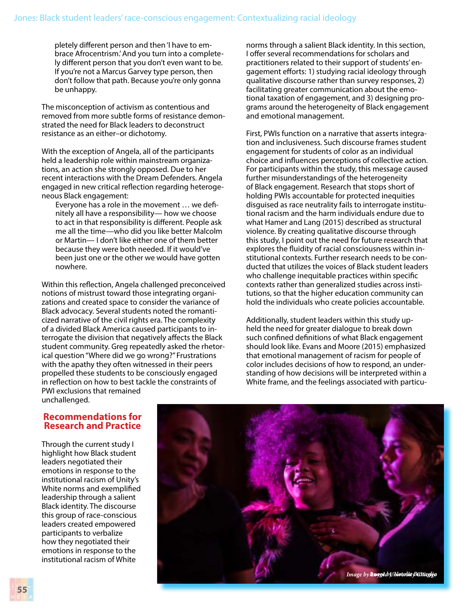pletely different person and then 'I have to embrace Afrocentrism.' And you turn into a completely different person that you don't even want to be. If you're not a Marcus Garvey type person, then don't follow that path. Because you're only gonna be unhappy.

The misconception of activism as contentious and removed from more subtle forms of resistance demonstrated the need for Black leaders to deconstruct resistance as an either–or dichotomy.

With the exception of Angela, all of the participants held a leadership role within mainstream organizations, an action she strongly opposed. Due to her recent interactions with the Dream Defenders. Angela engaged in new critical reflection regarding heterogeneous Black engagement:

Everyone has a role in the movement … we definitely all have a responsibility— how we choose to act in that responsibility is different. People ask me all the time—who did you like better Malcolm or Martin— I don't like either one of them better because they were both needed. If it would've been just one or the other we would have gotten nowhere.

Within this reflection, Angela challenged preconceived notions of mistrust toward those integrating organizations and created space to consider the variance of Black advocacy. Several students noted the romanticized narrative of the civil rights era. The complexity of a divided Black America caused participants to interrogate the division that negatively affects the Black student community. Greg repeatedly asked the rhetorical question "Where did we go wrong?" Frustrations with the apathy they often witnessed in their peers propelled these students to be consciously engaged in reflection on how to best tackle the constraints of PWI exclusions that remained unchallenged.

norms through a salient Black identity. In this section, I offer several recommendations for scholars and practitioners related to their support of students' engagement efforts: 1) studying racial ideology through qualitative discourse rather than survey responses, 2) facilitating greater communication about the emotional taxation of engagement, and 3) designing programs around the heterogeneity of Black engagement and emotional management.

First, PWIs function on a narrative that asserts integration and inclusiveness. Such discourse frames student engagement for students of color as an individual choice and influences perceptions of collective action. For participants within the study, this message caused further misunderstandings of the heterogeneity of Black engagement. Research that stops short of holding PWIs accountable for protected inequities disguised as race neutrality fails to interrogate institutional racism and the harm individuals endure due to what Hamer and Lang (2015) described as structural violence. By creating qualitative discourse through this study, I point out the need for future research that explores the fluidity of racial consciousness within institutional contexts. Further research needs to be conducted that utilizes the voices of Black student leaders who challenge inequitable practices within specific contexts rather than generalized studies across institutions, so that the higher education community can hold the individuals who create policies accountable.

Additionally, student leaders within this study upheld the need for greater dialogue to break down such confined definitions of what Black engagement should look like. Evans and Moore (2015) emphasized that emotional management of racism for people of color includes decisions of how to respond, an understanding of how decisions will be interpreted within a White frame, and the feelings associated with particu-

#### **Recommendations for Research and Practice**

Through the current study I highlight how Black student leaders negotiated their emotions in response to the institutional racism of Unity's White norms and exemplified leadership through a salient Black identity. The discourse this group of race-conscious leaders created empowered participants to verbalize how they negotiated their emotions in response to the institutional racism of White